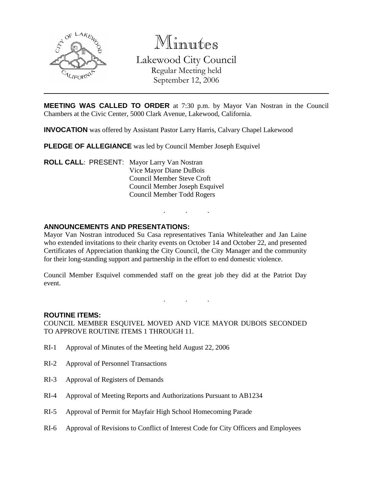

Minutes Lakewood City Council Regular Meeting held September 12, 2006

**MEETING WAS CALLED TO ORDER** at 7:30 p.m. by Mayor Van Nostran in the Council Chambers at the Civic Center, 5000 Clark Avenue, Lakewood, California.

**INVOCATION** was offered by Assistant Pastor Larry Harris, Calvary Chapel Lakewood

**PLEDGE OF ALLEGIANCE** was led by Council Member Joseph Esquivel

**ROLL CALL**: PRESENT: Mayor Larry Van Nostran Vice Mayor Diane DuBois Council Member Steve Croft Council Member Joseph Esquivel Council Member Todd Rogers

### **ANNOUNCEMENTS AND PRESENTATIONS:**

Mayor Van Nostran introduced Su Casa representatives Tania Whiteleather and Jan Laine who extended invitations to their charity events on October 14 and October 22, and presented Certificates of Appreciation thanking the City Council, the City Manager and the community for their long-standing support and partnership in the effort to end domestic violence.

. . .

Council Member Esquivel commended staff on the great job they did at the Patriot Day event.

. . .

#### **ROUTINE ITEMS:**

COUNCIL MEMBER ESQUIVEL MOVED AND VICE MAYOR DUBOIS SECONDED TO APPROVE ROUTINE ITEMS 1 THROUGH 11.

- RI-1 Approval of Minutes of the Meeting held August 22, 2006
- RI-2 Approval of Personnel Transactions
- RI-3 Approval of Registers of Demands
- RI-4 Approval of Meeting Reports and Authorizations Pursuant to AB1234
- RI-5 Approval of Permit for Mayfair High School Homecoming Parade
- RI-6 Approval of Revisions to Conflict of Interest Code for City Officers and Employees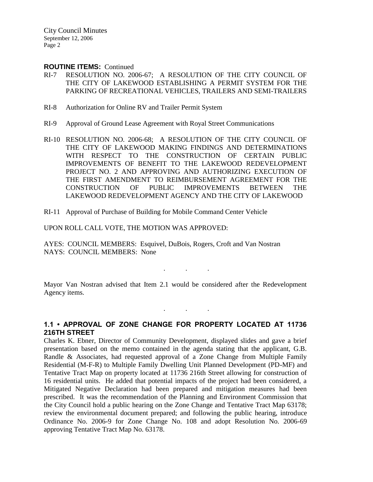#### **ROUTINE ITEMS:** Continued

- RI-7 RESOLUTION NO. 2006-67; A RESOLUTION OF THE CITY COUNCIL OF THE CITY OF LAKEWOOD ESTABLISHING A PERMIT SYSTEM FOR THE PARKING OF RECREATIONAL VEHICLES, TRAILERS AND SEMI-TRAILERS
- RI-8 Authorization for Online RV and Trailer Permit System
- RI-9 Approval of Ground Lease Agreement with Royal Street Communications
- RI-10 RESOLUTION NO. 2006-68; A RESOLUTION OF THE CITY COUNCIL OF THE CITY OF LAKEWOOD MAKING FINDINGS AND DETERMINATIONS WITH RESPECT TO THE CONSTRUCTION OF CERTAIN PUBLIC IMPROVEMENTS OF BENEFIT TO THE LAKEWOOD REDEVELOPMENT PROJECT NO. 2 AND APPROVING AND AUTHORIZING EXECUTION OF THE FIRST AMENDMENT TO REIMBURSEMENT AGREEMENT FOR THE CONSTRUCTION OF PUBLIC IMPROVEMENTS BETWEEN THE LAKEWOOD REDEVELOPMENT AGENCY AND THE CITY OF LAKEWOOD
- RI-11 Approval of Purchase of Building for Mobile Command Center Vehicle

#### UPON ROLL CALL VOTE, THE MOTION WAS APPROVED:

AYES: COUNCIL MEMBERS: Esquivel, DuBois, Rogers, Croft and Van Nostran NAYS: COUNCIL MEMBERS: None

Mayor Van Nostran advised that Item 2.1 would be considered after the Redevelopment Agency items.

 $\mathbf{r} = \mathbf{r} \cdot \mathbf{r}$ 

. . .

## **1.1 • APPROVAL OF ZONE CHANGE FOR PROPERTY LOCATED AT 11736 216TH STREET**

Charles K. Ebner, Director of Community Development, displayed slides and gave a brief presentation based on the memo contained in the agenda stating that the applicant, G.B. Randle & Associates, had requested approval of a Zone Change from Multiple Family Residential (M-F-R) to Multiple Family Dwelling Unit Planned Development (PD-MF) and Tentative Tract Map on property located at 11736 216th Street allowing for construction of 16 residential units. He added that potential impacts of the project had been considered, a Mitigated Negative Declaration had been prepared and mitigation measures had been prescribed. It was the recommendation of the Planning and Environment Commission that the City Council hold a public hearing on the Zone Change and Tentative Tract Map 63178; review the environmental document prepared; and following the public hearing, introduce Ordinance No. 2006-9 for Zone Change No. 108 and adopt Resolution No. 2006-69 approving Tentative Tract Map No. 63178.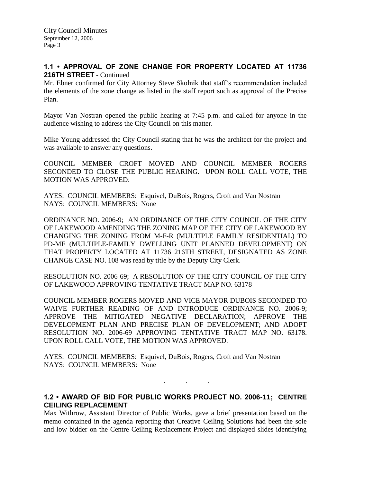## **1.1 • APPROVAL OF ZONE CHANGE FOR PROPERTY LOCATED AT 11736 216TH STREET** - Continued

Mr. Ebner confirmed for City Attorney Steve Skolnik that staff's recommendation included the elements of the zone change as listed in the staff report such as approval of the Precise Plan.

Mayor Van Nostran opened the public hearing at 7:45 p.m. and called for anyone in the audience wishing to address the City Council on this matter.

Mike Young addressed the City Council stating that he was the architect for the project and was available to answer any questions.

COUNCIL MEMBER CROFT MOVED AND COUNCIL MEMBER ROGERS SECONDED TO CLOSE THE PUBLIC HEARING. UPON ROLL CALL VOTE, THE MOTION WAS APPROVED:

AYES: COUNCIL MEMBERS: Esquivel, DuBois, Rogers, Croft and Van Nostran NAYS: COUNCIL MEMBERS: None

ORDINANCE NO. 2006-9; AN ORDINANCE OF THE CITY COUNCIL OF THE CITY OF LAKEWOOD AMENDING THE ZONING MAP OF THE CITY OF LAKEWOOD BY CHANGING THE ZONING FROM M-F-R (MULTIPLE FAMILY RESIDENTIAL) TO PD-MF (MULTIPLE-FAMILY DWELLING UNIT PLANNED DEVELOPMENT) ON THAT PROPERTY LOCATED AT 11736 216TH STREET, DESIGNATED AS ZONE CHANGE CASE NO. 108 was read by title by the Deputy City Clerk.

RESOLUTION NO. 2006-69; A RESOLUTION OF THE CITY COUNCIL OF THE CITY OF LAKEWOOD APPROVING TENTATIVE TRACT MAP NO. 63178

COUNCIL MEMBER ROGERS MOVED AND VICE MAYOR DUBOIS SECONDED TO WAIVE FURTHER READING OF AND INTRODUCE ORDINANCE NO. 2006-9; APPROVE THE MITIGATED NEGATIVE DECLARATION; APPROVE THE DEVELOPMENT PLAN AND PRECISE PLAN OF DEVELOPMENT; AND ADOPT RESOLUTION NO. 2006-69 APPROVING TENTATIVE TRACT MAP NO. 63178. UPON ROLL CALL VOTE, THE MOTION WAS APPROVED:

AYES: COUNCIL MEMBERS: Esquivel, DuBois, Rogers, Croft and Van Nostran NAYS: COUNCIL MEMBERS: None

## **1.2 • AWARD OF BID FOR PUBLIC WORKS PROJECT NO. 2006-11; CENTRE CEILING REPLACEMENT**

. . .

Max Withrow, Assistant Director of Public Works, gave a brief presentation based on the memo contained in the agenda reporting that Creative Ceiling Solutions had been the sole and low bidder on the Centre Ceiling Replacement Project and displayed slides identifying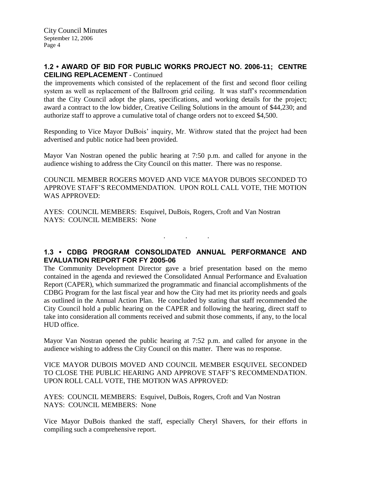## **1.2 • AWARD OF BID FOR PUBLIC WORKS PROJECT NO. 2006-11; CENTRE CEILING REPLACEMENT** - Continued

the improvements which consisted of the replacement of the first and second floor ceiling system as well as replacement of the Ballroom grid ceiling. It was staff's recommendation that the City Council adopt the plans, specifications, and working details for the project; award a contract to the low bidder, Creative Ceiling Solutions in the amount of \$44,230; and authorize staff to approve a cumulative total of change orders not to exceed \$4,500.

Responding to Vice Mayor DuBois' inquiry, Mr. Withrow stated that the project had been advertised and public notice had been provided.

Mayor Van Nostran opened the public hearing at 7:50 p.m. and called for anyone in the audience wishing to address the City Council on this matter. There was no response.

COUNCIL MEMBER ROGERS MOVED AND VICE MAYOR DUBOIS SECONDED TO APPROVE STAFF'S RECOMMENDATION. UPON ROLL CALL VOTE, THE MOTION WAS APPROVED:

AYES: COUNCIL MEMBERS: Esquivel, DuBois, Rogers, Croft and Van Nostran NAYS: COUNCIL MEMBERS: None

### **1.3 • CDBG PROGRAM CONSOLIDATED ANNUAL PERFORMANCE AND EVALUATION REPORT FOR FY 2005-06**

. . .

The Community Development Director gave a brief presentation based on the memo contained in the agenda and reviewed the Consolidated Annual Performance and Evaluation Report (CAPER), which summarized the programmatic and financial accomplishments of the CDBG Program for the last fiscal year and how the City had met its priority needs and goals as outlined in the Annual Action Plan. He concluded by stating that staff recommended the City Council hold a public hearing on the CAPER and following the hearing, direct staff to take into consideration all comments received and submit those comments, if any, to the local HUD office.

Mayor Van Nostran opened the public hearing at 7:52 p.m. and called for anyone in the audience wishing to address the City Council on this matter. There was no response.

### VICE MAYOR DUBOIS MOVED AND COUNCIL MEMBER ESQUIVEL SECONDED TO CLOSE THE PUBLIC HEARING AND APPROVE STAFF'S RECOMMENDATION. UPON ROLL CALL VOTE, THE MOTION WAS APPROVED:

AYES: COUNCIL MEMBERS: Esquivel, DuBois, Rogers, Croft and Van Nostran NAYS: COUNCIL MEMBERS: None

Vice Mayor DuBois thanked the staff, especially Cheryl Shavers, for their efforts in compiling such a comprehensive report.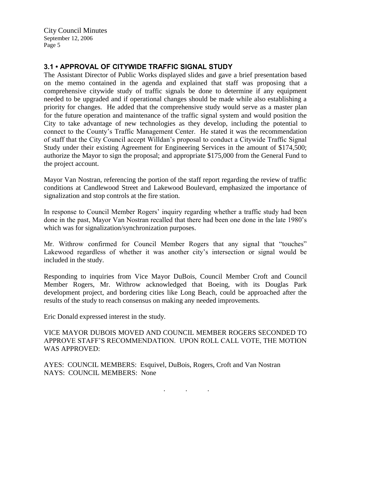# **3.1 • APPROVAL OF CITYWIDE TRAFFIC SIGNAL STUDY**

The Assistant Director of Public Works displayed slides and gave a brief presentation based on the memo contained in the agenda and explained that staff was proposing that a comprehensive citywide study of traffic signals be done to determine if any equipment needed to be upgraded and if operational changes should be made while also establishing a priority for changes. He added that the comprehensive study would serve as a master plan for the future operation and maintenance of the traffic signal system and would position the City to take advantage of new technologies as they develop, including the potential to connect to the County's Traffic Management Center. He stated it was the recommendation of staff that the City Council accept Willdan's proposal to conduct a Citywide Traffic Signal Study under their existing Agreement for Engineering Services in the amount of \$174,500; authorize the Mayor to sign the proposal; and appropriate \$175,000 from the General Fund to the project account.

Mayor Van Nostran, referencing the portion of the staff report regarding the review of traffic conditions at Candlewood Street and Lakewood Boulevard, emphasized the importance of signalization and stop controls at the fire station.

In response to Council Member Rogers' inquiry regarding whether a traffic study had been done in the past, Mayor Van Nostran recalled that there had been one done in the late 1980's which was for signalization/synchronization purposes.

Mr. Withrow confirmed for Council Member Rogers that any signal that "touches" Lakewood regardless of whether it was another city's intersection or signal would be included in the study.

Responding to inquiries from Vice Mayor DuBois, Council Member Croft and Council Member Rogers, Mr. Withrow acknowledged that Boeing, with its Douglas Park development project, and bordering cities like Long Beach, could be approached after the results of the study to reach consensus on making any needed improvements.

Eric Donald expressed interest in the study.

VICE MAYOR DUBOIS MOVED AND COUNCIL MEMBER ROGERS SECONDED TO APPROVE STAFF'S RECOMMENDATION. UPON ROLL CALL VOTE, THE MOTION WAS APPROVED:

AYES: COUNCIL MEMBERS: Esquivel, DuBois, Rogers, Croft and Van Nostran NAYS: COUNCIL MEMBERS: None

. . .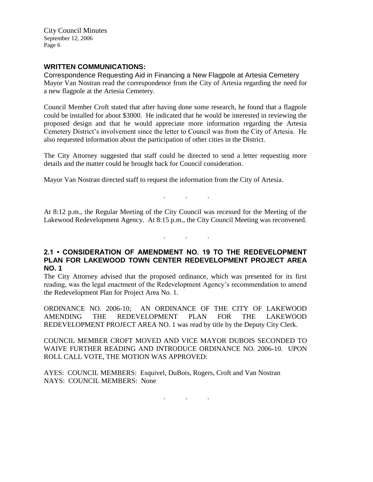### **WRITTEN COMMUNICATIONS:**

Correspondence Requesting Aid in Financing a New Flagpole at Artesia Cemetery Mayor Van Nostran read the correspondence from the City of Artesia regarding the need for a new flagpole at the Artesia Cemetery.

Council Member Croft stated that after having done some research, he found that a flagpole could be installed for about \$3000. He indicated that he would be interested in reviewing the proposed design and that he would appreciate more information regarding the Artesia Cemetery District's involvement since the letter to Council was from the City of Artesia. He also requested information about the participation of other cities in the District.

The City Attorney suggested that staff could be directed to send a letter requesting more details and the matter could be brought back for Council consideration.

Mayor Van Nostran directed staff to request the information from the City of Artesia.

At 8:12 p.m., the Regular Meeting of the City Council was recessed for the Meeting of the Lakewood Redevelopment Agency. At 8:15 p.m., the City Council Meeting was reconvened.

. . .

. . .

### **2.1 • CONSIDERATION OF AMENDMENT NO. 19 TO THE REDEVELOPMENT PLAN FOR LAKEWOOD TOWN CENTER REDEVELOPMENT PROJECT AREA NO. 1**

The City Attorney advised that the proposed ordinance, which was presented for its first reading, was the legal enactment of the Redevelopment Agency's recommendation to amend the Redevelopment Plan for Project Area No. 1.

ORDINANCE NO. 2006-10; AN ORDINANCE OF THE CITY OF LAKEWOOD AMENDING THE REDEVELOPMENT PLAN FOR THE LAKEWOOD REDEVELOPMENT PROJECT AREA NO. 1 was read by title by the Deputy City Clerk.

COUNCIL MEMBER CROFT MOVED AND VICE MAYOR DUBOIS SECONDED TO WAIVE FURTHER READING AND INTRODUCE ORDINANCE NO. 2006-10. UPON ROLL CALL VOTE, THE MOTION WAS APPROVED:

AYES: COUNCIL MEMBERS: Esquivel, DuBois, Rogers, Croft and Van Nostran NAYS: COUNCIL MEMBERS: None

. . .